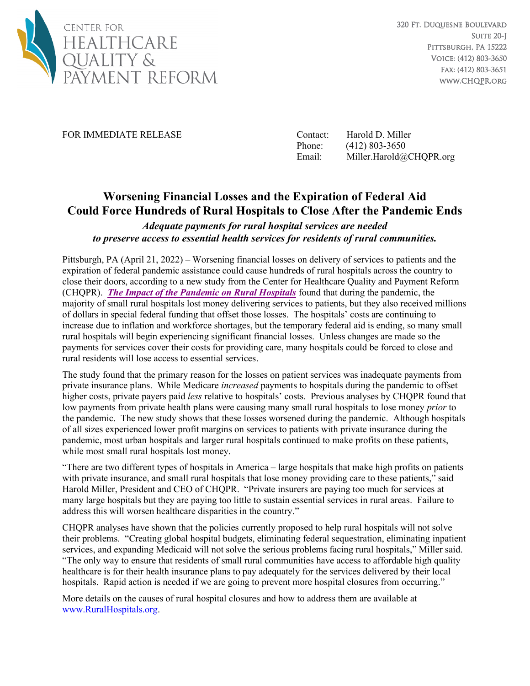

FOR IMMEDIATE RELEASE Contact: Harold D. Miller

Phone: (412) 803-3650 Email: Miller.Harold@CHQPR.org

## **Worsening Financial Losses and the Expiration of Federal Aid Could Force Hundreds of Rural Hospitals to Close After the Pandemic Ends**

## *Adequate payments for rural hospital services are needed to preserve access to essential health services for residents of rural communities.*

Pittsburgh, PA (April 21, 2022) – Worsening financial losses on delivery of services to patients and the expiration of federal pandemic assistance could cause hundreds of rural hospitals across the country to close their doors, according to a new study from the Center for Healthcare Quality and Payment Reform (CHQPR). *The [Impact of the Pandemic on Rural Hospitals](https://ruralhospitals.chqpr.org/downloads/Pandemic_Impact_on_Rural_Hospitals.pdf)* found that during the pandemic, the majority of small rural hospitals lost money delivering services to patients, but they also received millions of dollars in special federal funding that offset those losses. The hospitals' costs are continuing to increase due to inflation and workforce shortages, but the temporary federal aid is ending, so many small rural hospitals will begin experiencing significant financial losses. Unless changes are made so the payments for services cover their costs for providing care, many hospitals could be forced to close and rural residents will lose access to essential services.

The study found that the primary reason for the losses on patient services was inadequate payments from private insurance plans. While Medicare *increased* payments to hospitals during the pandemic to offset higher costs, private payers paid *less* relative to hospitals' costs. Previous analyses by CHQPR found that low payments from private health plans were causing many small rural hospitals to lose money *prior* to the pandemic. The new study shows that these losses worsened during the pandemic. Although hospitals of all sizes experienced lower profit margins on services to patients with private insurance during the pandemic, most urban hospitals and larger rural hospitals continued to make profits on these patients, while most small rural hospitals lost money.

"There are two different types of hospitals in America – large hospitals that make high profits on patients with private insurance, and small rural hospitals that lose money providing care to these patients," said Harold Miller, President and CEO of CHQPR. "Private insurers are paying too much for services at many large hospitals but they are paying too little to sustain essential services in rural areas. Failure to address this will worsen healthcare disparities in the country."

CHQPR analyses have shown that the policies currently proposed to help rural hospitals will not solve their problems. "Creating global hospital budgets, eliminating federal sequestration, eliminating inpatient services, and expanding Medicaid will not solve the serious problems facing rural hospitals," Miller said. "The only way to ensure that residents of small rural communities have access to affordable high quality healthcare is for their health insurance plans to pay adequately for the services delivered by their local hospitals. Rapid action is needed if we are going to prevent more hospital closures from occurring."

More details on the causes of rural hospital closures and how to address them are available at [www.RuralHospitals.org.](https://ruralhospitals.chqpr.org/)